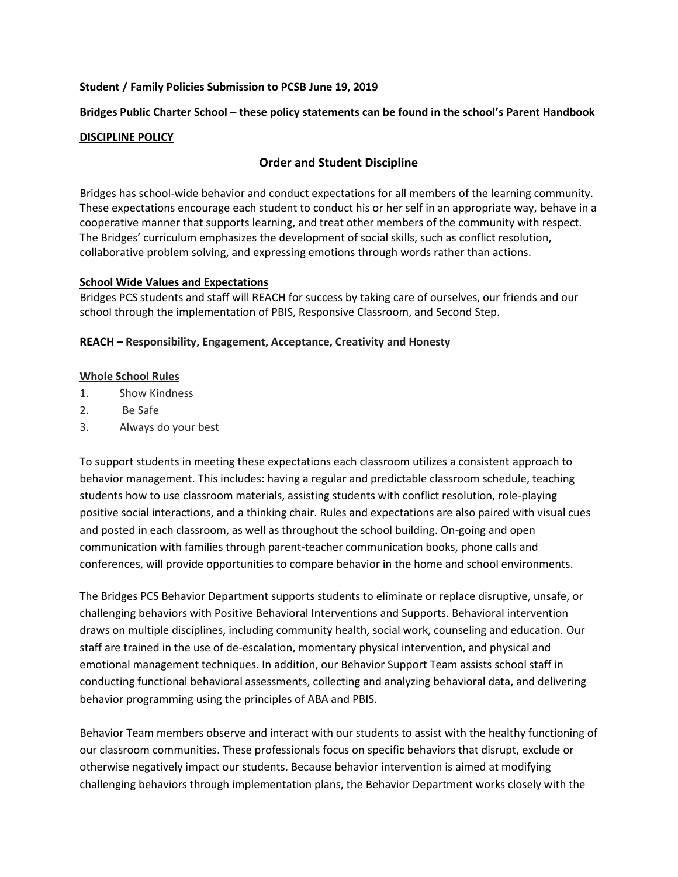#### **Student / Family Policies Submission to PCSB June 19, 2019**

### **Bridges Public Charter School – these policy statements can be found in the school's Parent Handbook**

#### **DISCIPLINE POLICY**

### **Order and Student Discipline**

Bridges has school-wide behavior and conduct expectations for all members of the learning community. These expectations encourage each student to conduct his or her self in an appropriate way, behave in a cooperative manner that supports learning, and treat other members of the community with respect. The Bridges' curriculum emphasizes the development of social skills, such as conflict resolution, collaborative problem solving, and expressing emotions through words rather than actions.

#### **School Wide Values and Expectations**

Bridges PCS students and staff will REACH for success by taking care of ourselves, our friends and our school through the implementation of PBIS, Responsive Classroom, and Second Step.

### **REACH – Responsibility, Engagement, Acceptance, Creativity and Honesty**

#### **Whole School Rules**

- 1. Show Kindness
- 2. Be Safe
- 3. Always do your best

To support students in meeting these expectations each classroom utilizes a consistent approach to behavior management. This includes: having a regular and predictable classroom schedule, teaching students how to use classroom materials, assisting students with conflict resolution, role-playing positive social interactions, and a thinking chair. Rules and expectations are also paired with visual cues and posted in each classroom, as well as throughout the school building. On-going and open communication with families through parent-teacher communication books, phone calls and conferences, will provide opportunities to compare behavior in the home and school environments.

The Bridges PCS Behavior Department supports students to eliminate or replace disruptive, unsafe, or challenging behaviors with Positive Behavioral Interventions and Supports. Behavioral intervention draws on multiple disciplines, including community health, social work, counseling and education. Our staff are trained in the use of de-escalation, momentary physical intervention, and physical and emotional management techniques. In addition, our Behavior Support Team assists school staff in conducting functional behavioral assessments, collecting and analyzing behavioral data, and delivering behavior programming using the principles of ABA and PBIS.

Behavior Team members observe and interact with our students to assist with the healthy functioning of our classroom communities. These professionals focus on specific behaviors that disrupt, exclude or otherwise negatively impact our students. Because behavior intervention is aimed at modifying challenging behaviors through implementation plans, the Behavior Department works closely with the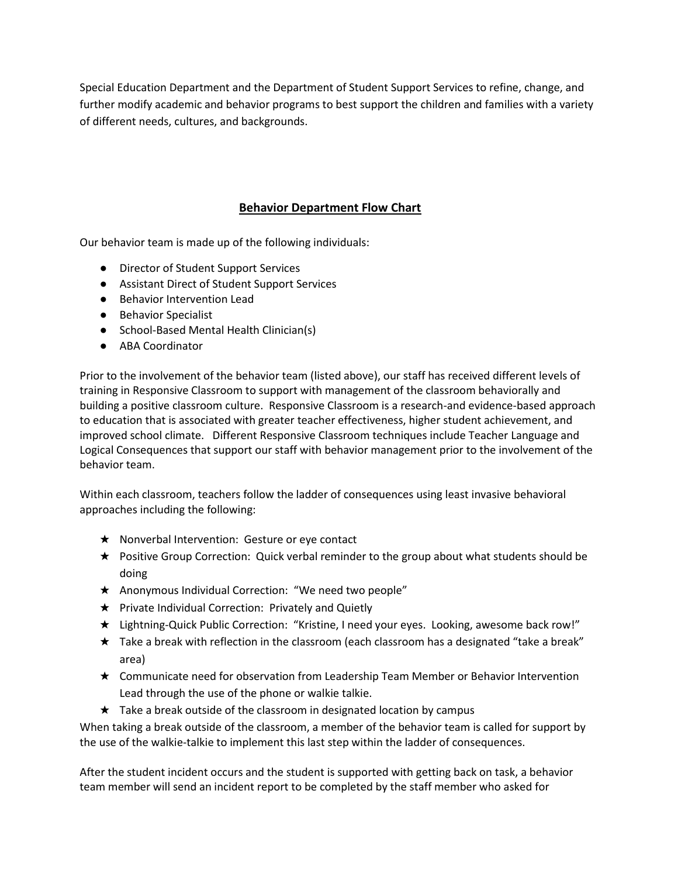Special Education Department and the Department of Student Support Services to refine, change, and further modify academic and behavior programs to best support the children and families with a variety of different needs, cultures, and backgrounds.

## **Behavior Department Flow Chart**

Our behavior team is made up of the following individuals:

- Director of Student Support Services
- Assistant Direct of Student Support Services
- Behavior Intervention Lead
- Behavior Specialist
- School-Based Mental Health Clinician(s)
- ABA Coordinator

Prior to the involvement of the behavior team (listed above), our staff has received different levels of training in Responsive Classroom to support with management of the classroom behaviorally and building a positive classroom culture. Responsive Classroom is a research-and evidence-based approach to education that is associated with greater teacher effectiveness, higher student achievement, and improved school climate. Different Responsive Classroom techniques include Teacher Language and Logical Consequences that support our staff with behavior management prior to the involvement of the behavior team.

Within each classroom, teachers follow the ladder of consequences using least invasive behavioral approaches including the following:

- ★ Nonverbal Intervention: Gesture or eye contact
- ★ Positive Group Correction: Quick verbal reminder to the group about what students should be doing
- ★ Anonymous Individual Correction: "We need two people"
- ★ Private Individual Correction: Privately and Quietly
- ★ Lightning-Quick Public Correction: "Kristine, I need your eyes. Looking, awesome back row!"
- ★ Take a break with reflection in the classroom (each classroom has a designated "take a break" area)
- ★ Communicate need for observation from Leadership Team Member or Behavior Intervention Lead through the use of the phone or walkie talkie.
- $\star$  Take a break outside of the classroom in designated location by campus

When taking a break outside of the classroom, a member of the behavior team is called for support by the use of the walkie-talkie to implement this last step within the ladder of consequences.

After the student incident occurs and the student is supported with getting back on task, a behavior team member will send an incident report to be completed by the staff member who asked for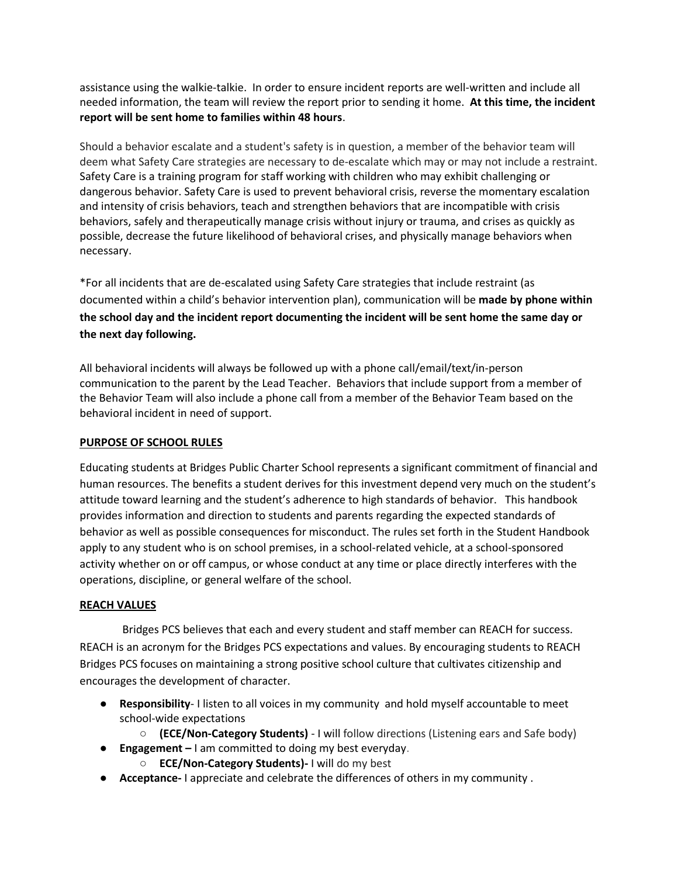assistance using the walkie-talkie. In order to ensure incident reports are well-written and include all needed information, the team will review the report prior to sending it home. **At this time, the incident report will be sent home to families within 48 hours**.

Should a behavior escalate and a student's safety is in question, a member of the behavior team will deem what Safety Care strategies are necessary to de-escalate which may or may not include a restraint. Safety Care is a training program for staff working with children who may exhibit challenging or dangerous behavior. Safety Care is used to prevent behavioral crisis, reverse the momentary escalation and intensity of crisis behaviors, teach and strengthen behaviors that are incompatible with crisis behaviors, safely and therapeutically manage crisis without injury or trauma, and crises as quickly as possible, decrease the future likelihood of behavioral crises, and physically manage behaviors when necessary.

\*For all incidents that are de-escalated using Safety Care strategies that include restraint (as documented within a child's behavior intervention plan), communication will be **made by phone within the school day and the incident report documenting the incident will be sent home the same day or the next day following.**

All behavioral incidents will always be followed up with a phone call/email/text/in-person communication to the parent by the Lead Teacher. Behaviors that include support from a member of the Behavior Team will also include a phone call from a member of the Behavior Team based on the behavioral incident in need of support.

### **PURPOSE OF SCHOOL RULES**

Educating students at Bridges Public Charter School represents a significant commitment of financial and human resources. The benefits a student derives for this investment depend very much on the student's attitude toward learning and the student's adherence to high standards of behavior. This handbook provides information and direction to students and parents regarding the expected standards of behavior as well as possible consequences for misconduct. The rules set forth in the Student Handbook apply to any student who is on school premises, in a school-related vehicle, at a school-sponsored activity whether on or off campus, or whose conduct at any time or place directly interferes with the operations, discipline, or general welfare of the school.

#### **REACH VALUES**

Bridges PCS believes that each and every student and staff member can REACH for success. REACH is an acronym for the Bridges PCS expectations and values. By encouraging students to REACH Bridges PCS focuses on maintaining a strong positive school culture that cultivates citizenship and encourages the development of character.

- **Responsibility** I listen to all voices in my community and hold myself accountable to meet school-wide expectations
	- **(ECE/Non-Category Students)**  I will follow directions (Listening ears and Safe body)
- **Engagement –** I am committed to doing my best everyday.
	- **ECE/Non-Category Students)-** I will do my best
- **Acceptance-** I appreciate and celebrate the differences of others in my community .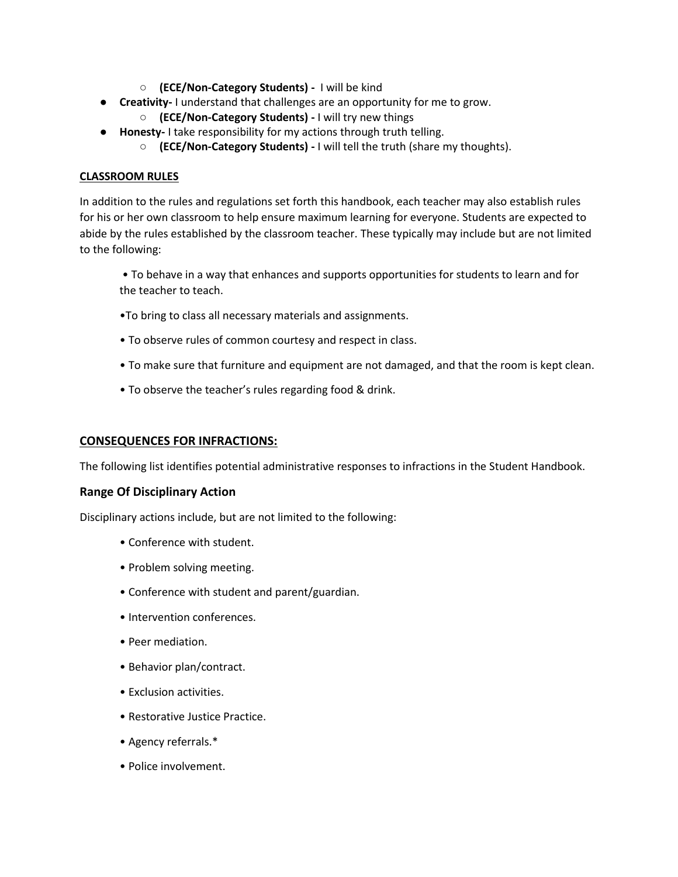- **(ECE/Non-Category Students) -** I will be kind
- **Creativity-** I understand that challenges are an opportunity for me to grow.
	- **(ECE/Non-Category Students) -** I will try new things
- **Honesty-** I take responsibility for my actions through truth telling.
	- **(ECE/Non-Category Students) -** I will tell the truth (share my thoughts).

#### **CLASSROOM RULES**

In addition to the rules and regulations set forth this handbook, each teacher may also establish rules for his or her own classroom to help ensure maximum learning for everyone. Students are expected to abide by the rules established by the classroom teacher. These typically may include but are not limited to the following:

• To behave in a way that enhances and supports opportunities for students to learn and for the teacher to teach.

- •To bring to class all necessary materials and assignments.
- To observe rules of common courtesy and respect in class.
- To make sure that furniture and equipment are not damaged, and that the room is kept clean.
- To observe the teacher's rules regarding food & drink.

### **CONSEQUENCES FOR INFRACTIONS:**

The following list identifies potential administrative responses to infractions in the Student Handbook.

#### **Range Of Disciplinary Action**

Disciplinary actions include, but are not limited to the following:

- Conference with student.
- Problem solving meeting.
- Conference with student and parent/guardian.
- Intervention conferences.
- Peer mediation.
- Behavior plan/contract.
- Exclusion activities.
- Restorative Justice Practice.
- Agency referrals.\*
- Police involvement.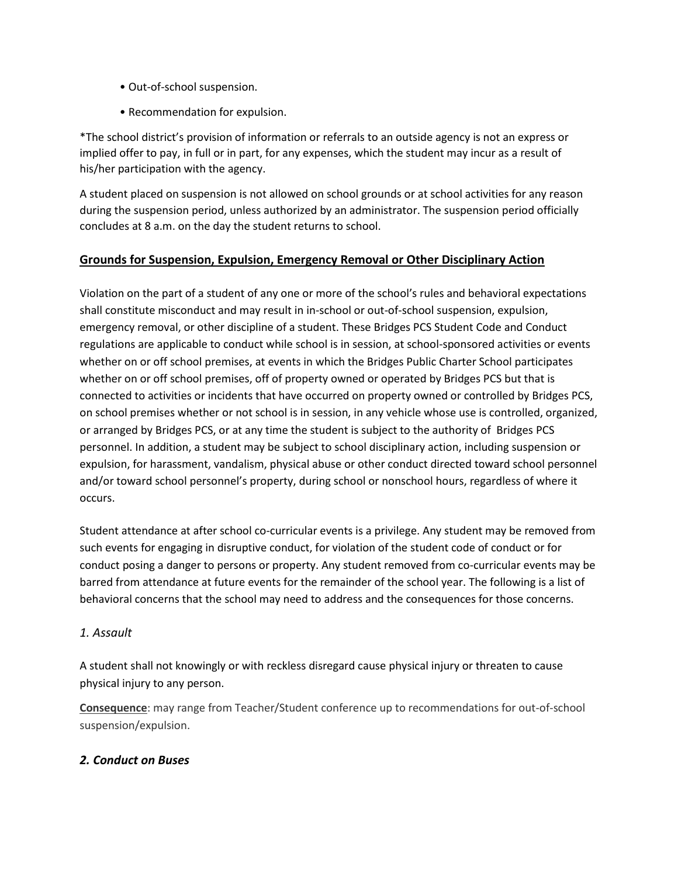- Out-of-school suspension.
- Recommendation for expulsion.

\*The school district's provision of information or referrals to an outside agency is not an express or implied offer to pay, in full or in part, for any expenses, which the student may incur as a result of his/her participation with the agency.

A student placed on suspension is not allowed on school grounds or at school activities for any reason during the suspension period, unless authorized by an administrator. The suspension period officially concludes at 8 a.m. on the day the student returns to school.

### **Grounds for Suspension, Expulsion, Emergency Removal or Other Disciplinary Action**

Violation on the part of a student of any one or more of the school's rules and behavioral expectations shall constitute misconduct and may result in in-school or out-of-school suspension, expulsion, emergency removal, or other discipline of a student. These Bridges PCS Student Code and Conduct regulations are applicable to conduct while school is in session, at school-sponsored activities or events whether on or off school premises, at events in which the Bridges Public Charter School participates whether on or off school premises, off of property owned or operated by Bridges PCS but that is connected to activities or incidents that have occurred on property owned or controlled by Bridges PCS, on school premises whether or not school is in session, in any vehicle whose use is controlled, organized, or arranged by Bridges PCS, or at any time the student is subject to the authority of Bridges PCS personnel. In addition, a student may be subject to school disciplinary action, including suspension or expulsion, for harassment, vandalism, physical abuse or other conduct directed toward school personnel and/or toward school personnel's property, during school or nonschool hours, regardless of where it occurs.

Student attendance at after school co-curricular events is a privilege. Any student may be removed from such events for engaging in disruptive conduct, for violation of the student code of conduct or for conduct posing a danger to persons or property. Any student removed from co-curricular events may be barred from attendance at future events for the remainder of the school year. The following is a list of behavioral concerns that the school may need to address and the consequences for those concerns.

### *1. Assault*

A student shall not knowingly or with reckless disregard cause physical injury or threaten to cause physical injury to any person.

**Consequence**: may range from Teacher/Student conference up to recommendations for out-of-school suspension/expulsion.

### *2. Conduct on Buses*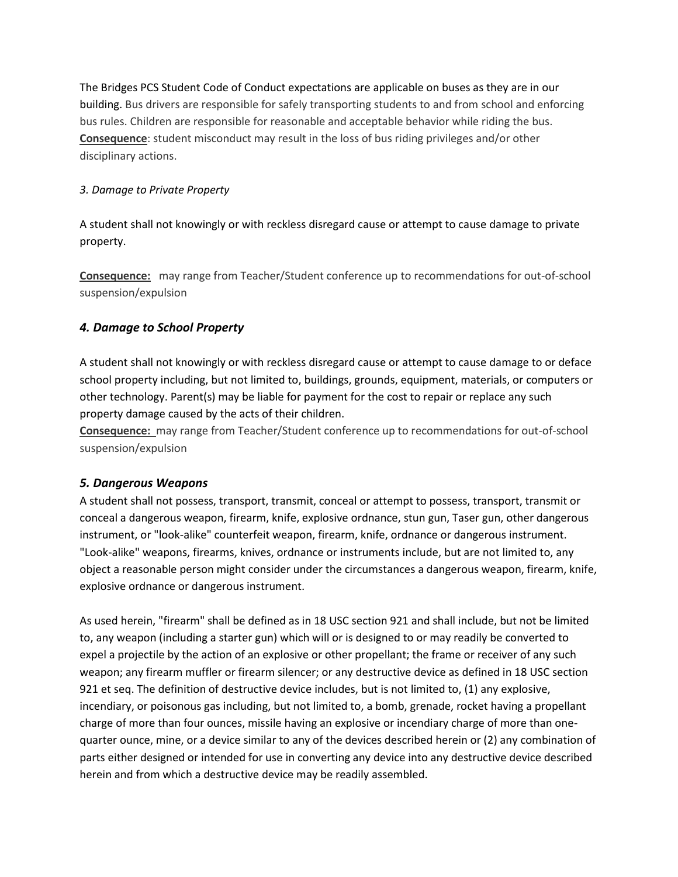The Bridges PCS Student Code of Conduct expectations are applicable on buses as they are in our building. Bus drivers are responsible for safely transporting students to and from school and enforcing bus rules. Children are responsible for reasonable and acceptable behavior while riding the bus. **Consequence**: student misconduct may result in the loss of bus riding privileges and/or other disciplinary actions.

### *3. Damage to Private Property*

A student shall not knowingly or with reckless disregard cause or attempt to cause damage to private property.

**Consequence:** may range from Teacher/Student conference up to recommendations for out-of-school suspension/expulsion

### *4. Damage to School Property*

A student shall not knowingly or with reckless disregard cause or attempt to cause damage to or deface school property including, but not limited to, buildings, grounds, equipment, materials, or computers or other technology. Parent(s) may be liable for payment for the cost to repair or replace any such property damage caused by the acts of their children.

**Consequence:** may range from Teacher/Student conference up to recommendations for out-of-school suspension/expulsion

### *5. Dangerous Weapons*

A student shall not possess, transport, transmit, conceal or attempt to possess, transport, transmit or conceal a dangerous weapon, firearm, knife, explosive ordnance, stun gun, Taser gun, other dangerous instrument, or "look-alike" counterfeit weapon, firearm, knife, ordnance or dangerous instrument. "Look-alike" weapons, firearms, knives, ordnance or instruments include, but are not limited to, any object a reasonable person might consider under the circumstances a dangerous weapon, firearm, knife, explosive ordnance or dangerous instrument.

As used herein, "firearm" shall be defined as in 18 USC section 921 and shall include, but not be limited to, any weapon (including a starter gun) which will or is designed to or may readily be converted to expel a projectile by the action of an explosive or other propellant; the frame or receiver of any such weapon; any firearm muffler or firearm silencer; or any destructive device as defined in 18 USC section 921 et seq. The definition of destructive device includes, but is not limited to, (1) any explosive, incendiary, or poisonous gas including, but not limited to, a bomb, grenade, rocket having a propellant charge of more than four ounces, missile having an explosive or incendiary charge of more than onequarter ounce, mine, or a device similar to any of the devices described herein or (2) any combination of parts either designed or intended for use in converting any device into any destructive device described herein and from which a destructive device may be readily assembled.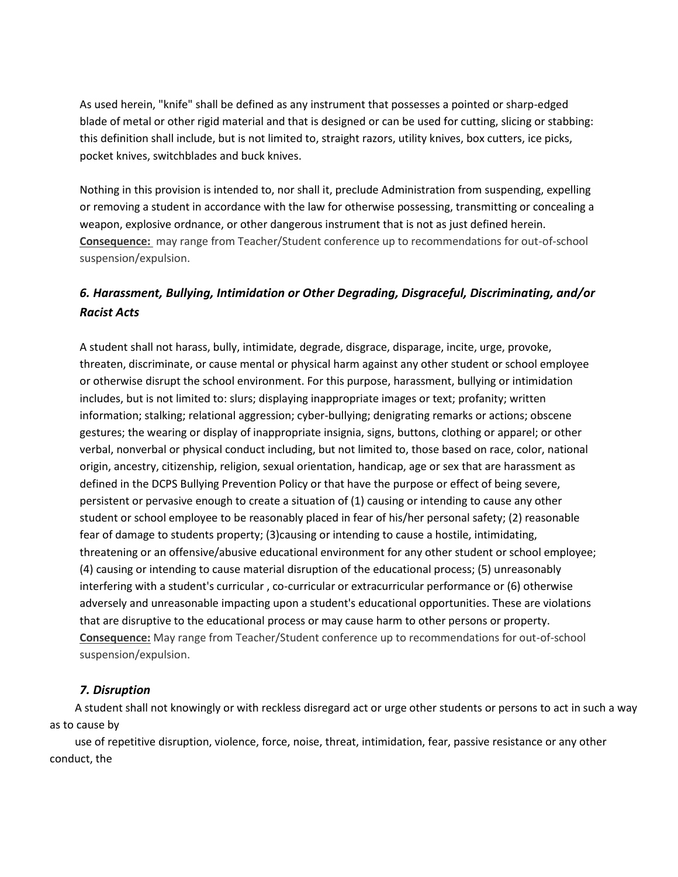As used herein, "knife" shall be defined as any instrument that possesses a pointed or sharp-edged blade of metal or other rigid material and that is designed or can be used for cutting, slicing or stabbing: this definition shall include, but is not limited to, straight razors, utility knives, box cutters, ice picks, pocket knives, switchblades and buck knives.

Nothing in this provision is intended to, nor shall it, preclude Administration from suspending, expelling or removing a student in accordance with the law for otherwise possessing, transmitting or concealing a weapon, explosive ordnance, or other dangerous instrument that is not as just defined herein. **Consequence:** may range from Teacher/Student conference up to recommendations for out-of-school suspension/expulsion.

# *6. Harassment, Bullying, Intimidation or Other Degrading, Disgraceful, Discriminating, and/or Racist Acts*

A student shall not harass, bully, intimidate, degrade, disgrace, disparage, incite, urge, provoke, threaten, discriminate, or cause mental or physical harm against any other student or school employee or otherwise disrupt the school environment. For this purpose, harassment, bullying or intimidation includes, but is not limited to: slurs; displaying inappropriate images or text; profanity; written information; stalking; relational aggression; cyber-bullying; denigrating remarks or actions; obscene gestures; the wearing or display of inappropriate insignia, signs, buttons, clothing or apparel; or other verbal, nonverbal or physical conduct including, but not limited to, those based on race, color, national origin, ancestry, citizenship, religion, sexual orientation, handicap, age or sex that are harassment as defined in the DCPS Bullying Prevention Policy or that have the purpose or effect of being severe, persistent or pervasive enough to create a situation of (1) causing or intending to cause any other student or school employee to be reasonably placed in fear of his/her personal safety; (2) reasonable fear of damage to students property; (3)causing or intending to cause a hostile, intimidating, threatening or an offensive/abusive educational environment for any other student or school employee; (4) causing or intending to cause material disruption of the educational process; (5) unreasonably interfering with a student's curricular , co-curricular or extracurricular performance or (6) otherwise adversely and unreasonable impacting upon a student's educational opportunities. These are violations that are disruptive to the educational process or may cause harm to other persons or property. **Consequence:** May range from Teacher/Student conference up to recommendations for out-of-school suspension/expulsion.

### *7. Disruption*

 A student shall not knowingly or with reckless disregard act or urge other students or persons to act in such a way as to cause by

 use of repetitive disruption, violence, force, noise, threat, intimidation, fear, passive resistance or any other conduct, the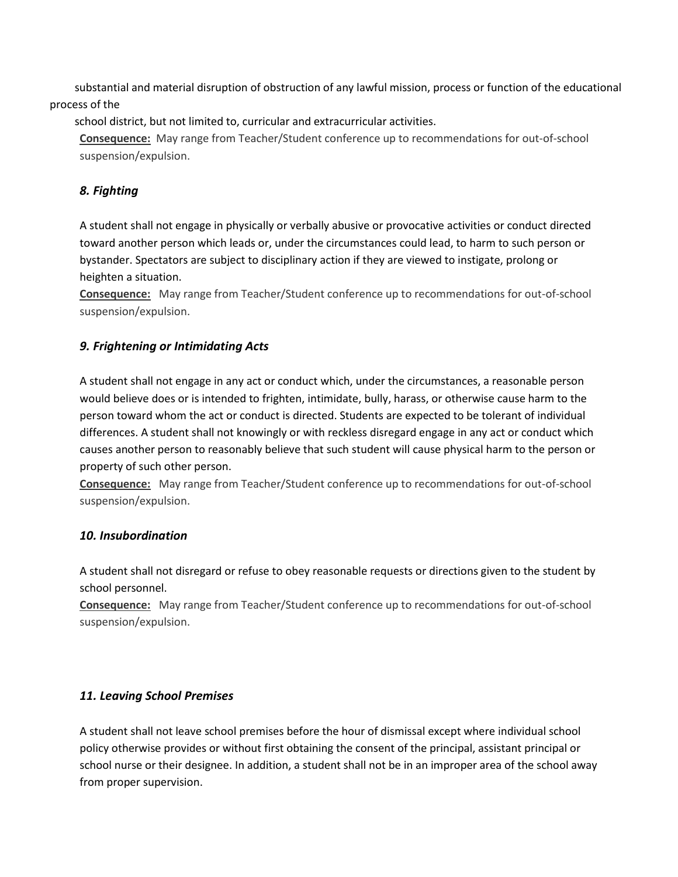substantial and material disruption of obstruction of any lawful mission, process or function of the educational process of the

school district, but not limited to, curricular and extracurricular activities.

**Consequence:** May range from Teacher/Student conference up to recommendations for out-of-school suspension/expulsion.

## *8. Fighting*

A student shall not engage in physically or verbally abusive or provocative activities or conduct directed toward another person which leads or, under the circumstances could lead, to harm to such person or bystander. Spectators are subject to disciplinary action if they are viewed to instigate, prolong or heighten a situation.

**Consequence:** May range from Teacher/Student conference up to recommendations for out-of-school suspension/expulsion.

## *9. Frightening or Intimidating Acts*

A student shall not engage in any act or conduct which, under the circumstances, a reasonable person would believe does or is intended to frighten, intimidate, bully, harass, or otherwise cause harm to the person toward whom the act or conduct is directed. Students are expected to be tolerant of individual differences. A student shall not knowingly or with reckless disregard engage in any act or conduct which causes another person to reasonably believe that such student will cause physical harm to the person or property of such other person.

**Consequence:** May range from Teacher/Student conference up to recommendations for out-of-school suspension/expulsion.

## *10. Insubordination*

A student shall not disregard or refuse to obey reasonable requests or directions given to the student by school personnel.

**Consequence:** May range from Teacher/Student conference up to recommendations for out-of-school suspension/expulsion.

## *11. Leaving School Premises*

A student shall not leave school premises before the hour of dismissal except where individual school policy otherwise provides or without first obtaining the consent of the principal, assistant principal or school nurse or their designee. In addition, a student shall not be in an improper area of the school away from proper supervision.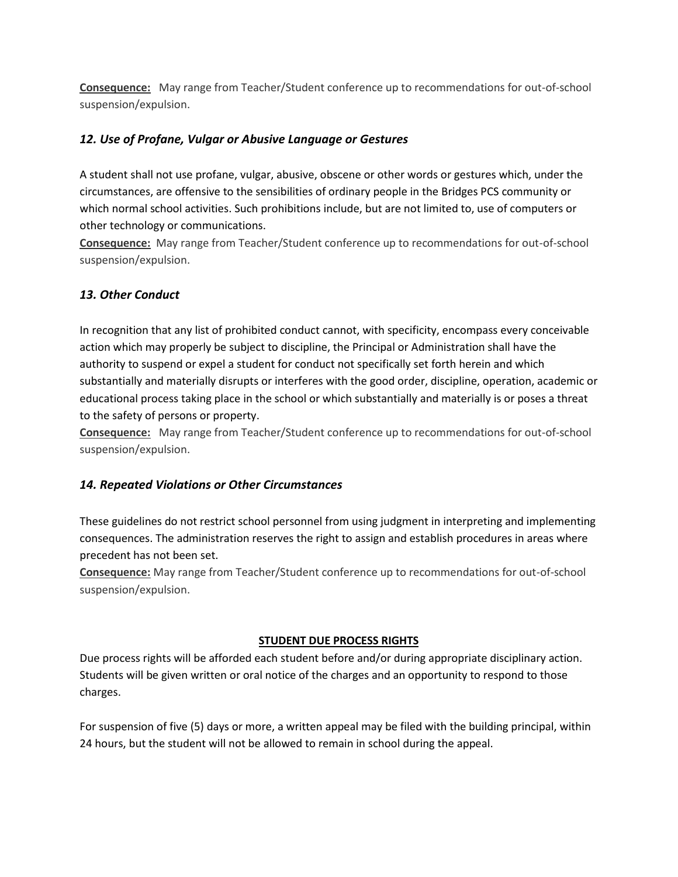**Consequence:** May range from Teacher/Student conference up to recommendations for out-of-school suspension/expulsion.

## *12. Use of Profane, Vulgar or Abusive Language or Gestures*

A student shall not use profane, vulgar, abusive, obscene or other words or gestures which, under the circumstances, are offensive to the sensibilities of ordinary people in the Bridges PCS community or which normal school activities. Such prohibitions include, but are not limited to, use of computers or other technology or communications.

**Consequence:** May range from Teacher/Student conference up to recommendations for out-of-school suspension/expulsion.

### *13. Other Conduct*

In recognition that any list of prohibited conduct cannot, with specificity, encompass every conceivable action which may properly be subject to discipline, the Principal or Administration shall have the authority to suspend or expel a student for conduct not specifically set forth herein and which substantially and materially disrupts or interferes with the good order, discipline, operation, academic or educational process taking place in the school or which substantially and materially is or poses a threat to the safety of persons or property.

**Consequence:** May range from Teacher/Student conference up to recommendations for out-of-school suspension/expulsion.

### *14. Repeated Violations or Other Circumstances*

These guidelines do not restrict school personnel from using judgment in interpreting and implementing consequences. The administration reserves the right to assign and establish procedures in areas where precedent has not been set.

**Consequence:** May range from Teacher/Student conference up to recommendations for out-of-school suspension/expulsion.

### **STUDENT DUE PROCESS RIGHTS**

Due process rights will be afforded each student before and/or during appropriate disciplinary action. Students will be given written or oral notice of the charges and an opportunity to respond to those charges.

For suspension of five (5) days or more, a written appeal may be filed with the building principal, within 24 hours, but the student will not be allowed to remain in school during the appeal.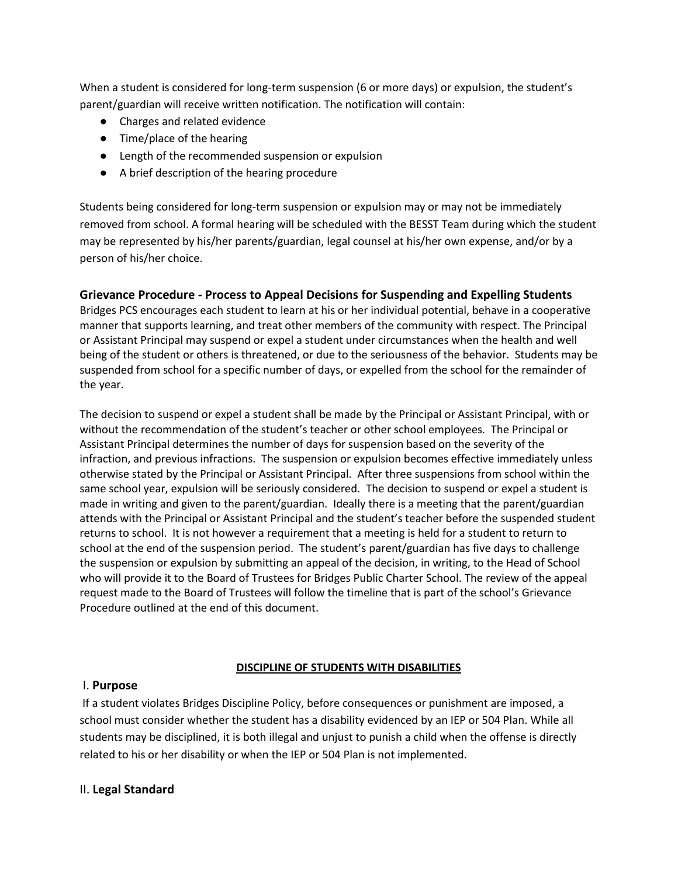When a student is considered for long-term suspension (6 or more days) or expulsion, the student's parent/guardian will receive written notification. The notification will contain:

- Charges and related evidence
- Time/place of the hearing
- Length of the recommended suspension or expulsion
- A brief description of the hearing procedure

Students being considered for long-term suspension or expulsion may or may not be immediately removed from school. A formal hearing will be scheduled with the BESST Team during which the student may be represented by his/her parents/guardian, legal counsel at his/her own expense, and/or by a person of his/her choice.

### **Grievance Procedure - Process to Appeal Decisions for Suspending and Expelling Students**

Bridges PCS encourages each student to learn at his or her individual potential, behave in a cooperative manner that supports learning, and treat other members of the community with respect. The Principal or Assistant Principal may suspend or expel a student under circumstances when the health and well being of the student or others is threatened, or due to the seriousness of the behavior. Students may be suspended from school for a specific number of days, or expelled from the school for the remainder of the year.

The decision to suspend or expel a student shall be made by the Principal or Assistant Principal, with or without the recommendation of the student's teacher or other school employees. The Principal or Assistant Principal determines the number of days for suspension based on the severity of the infraction, and previous infractions. The suspension or expulsion becomes effective immediately unless otherwise stated by the Principal or Assistant Principal. After three suspensions from school within the same school year, expulsion will be seriously considered. The decision to suspend or expel a student is made in writing and given to the parent/guardian. Ideally there is a meeting that the parent/guardian attends with the Principal or Assistant Principal and the student's teacher before the suspended student returns to school. It is not however a requirement that a meeting is held for a student to return to school at the end of the suspension period. The student's parent/guardian has five days to challenge the suspension or expulsion by submitting an appeal of the decision, in writing, to the Head of School who will provide it to the Board of Trustees for Bridges Public Charter School. The review of the appeal request made to the Board of Trustees will follow the timeline that is part of the school's Grievance Procedure outlined at the end of this document.

### **DISCIPLINE OF STUDENTS WITH DISABILITIES**

### I. **Purpose**

If a student violates Bridges Discipline Policy, before consequences or punishment are imposed, a school must consider whether the student has a disability evidenced by an IEP or 504 Plan. While all students may be disciplined, it is both illegal and unjust to punish a child when the offense is directly related to his or her disability or when the IEP or 504 Plan is not implemented.

### II. **Legal Standard**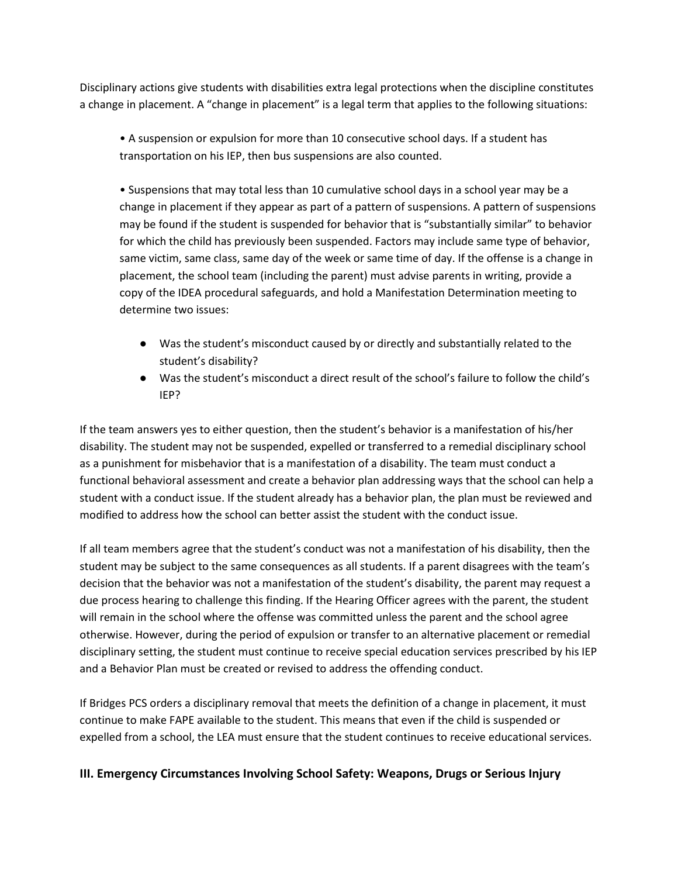Disciplinary actions give students with disabilities extra legal protections when the discipline constitutes a change in placement. A "change in placement" is a legal term that applies to the following situations:

• A suspension or expulsion for more than 10 consecutive school days. If a student has transportation on his IEP, then bus suspensions are also counted.

• Suspensions that may total less than 10 cumulative school days in a school year may be a change in placement if they appear as part of a pattern of suspensions. A pattern of suspensions may be found if the student is suspended for behavior that is "substantially similar" to behavior for which the child has previously been suspended. Factors may include same type of behavior, same victim, same class, same day of the week or same time of day. If the offense is a change in placement, the school team (including the parent) must advise parents in writing, provide a copy of the IDEA procedural safeguards, and hold a Manifestation Determination meeting to determine two issues:

- Was the student's misconduct caused by or directly and substantially related to the student's disability?
- Was the student's misconduct a direct result of the school's failure to follow the child's IEP?

If the team answers yes to either question, then the student's behavior is a manifestation of his/her disability. The student may not be suspended, expelled or transferred to a remedial disciplinary school as a punishment for misbehavior that is a manifestation of a disability. The team must conduct a functional behavioral assessment and create a behavior plan addressing ways that the school can help a student with a conduct issue. If the student already has a behavior plan, the plan must be reviewed and modified to address how the school can better assist the student with the conduct issue.

If all team members agree that the student's conduct was not a manifestation of his disability, then the student may be subject to the same consequences as all students. If a parent disagrees with the team's decision that the behavior was not a manifestation of the student's disability, the parent may request a due process hearing to challenge this finding. If the Hearing Officer agrees with the parent, the student will remain in the school where the offense was committed unless the parent and the school agree otherwise. However, during the period of expulsion or transfer to an alternative placement or remedial disciplinary setting, the student must continue to receive special education services prescribed by his IEP and a Behavior Plan must be created or revised to address the offending conduct.

If Bridges PCS orders a disciplinary removal that meets the definition of a change in placement, it must continue to make FAPE available to the student. This means that even if the child is suspended or expelled from a school, the LEA must ensure that the student continues to receive educational services.

## **III. Emergency Circumstances Involving School Safety: Weapons, Drugs or Serious Injury**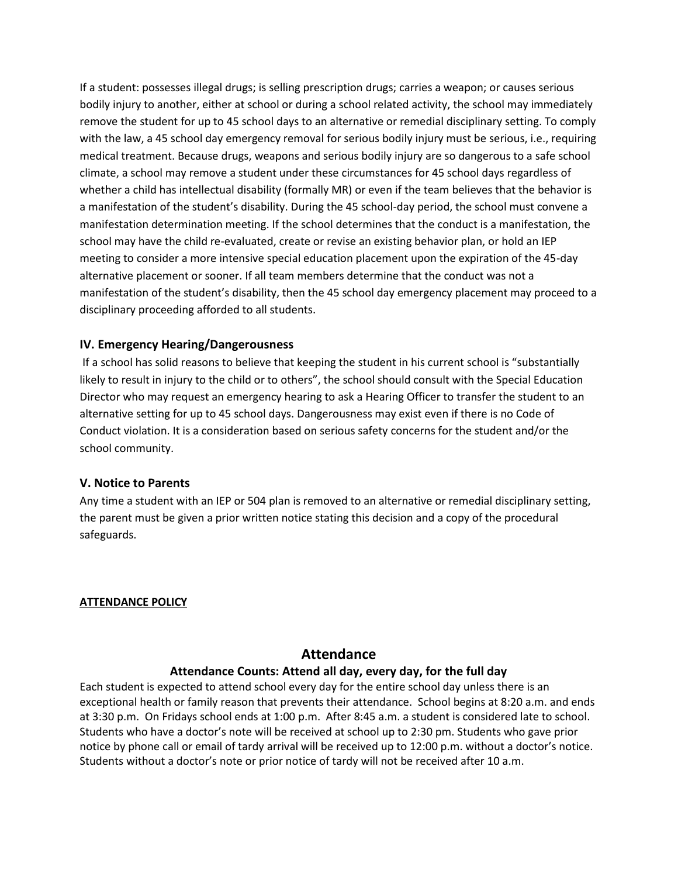If a student: possesses illegal drugs; is selling prescription drugs; carries a weapon; or causes serious bodily injury to another, either at school or during a school related activity, the school may immediately remove the student for up to 45 school days to an alternative or remedial disciplinary setting. To comply with the law, a 45 school day emergency removal for serious bodily injury must be serious, i.e., requiring medical treatment. Because drugs, weapons and serious bodily injury are so dangerous to a safe school climate, a school may remove a student under these circumstances for 45 school days regardless of whether a child has intellectual disability (formally MR) or even if the team believes that the behavior is a manifestation of the student's disability. During the 45 school-day period, the school must convene a manifestation determination meeting. If the school determines that the conduct is a manifestation, the school may have the child re-evaluated, create or revise an existing behavior plan, or hold an IEP meeting to consider a more intensive special education placement upon the expiration of the 45-day alternative placement or sooner. If all team members determine that the conduct was not a manifestation of the student's disability, then the 45 school day emergency placement may proceed to a disciplinary proceeding afforded to all students.

### **IV. Emergency Hearing/Dangerousness**

If a school has solid reasons to believe that keeping the student in his current school is "substantially likely to result in injury to the child or to others", the school should consult with the Special Education Director who may request an emergency hearing to ask a Hearing Officer to transfer the student to an alternative setting for up to 45 school days. Dangerousness may exist even if there is no Code of Conduct violation. It is a consideration based on serious safety concerns for the student and/or the school community.

#### **V. Notice to Parents**

Any time a student with an IEP or 504 plan is removed to an alternative or remedial disciplinary setting, the parent must be given a prior written notice stating this decision and a copy of the procedural safeguards.

#### **ATTENDANCE POLICY**

### **Attendance**

#### **Attendance Counts: Attend all day, every day, for the full day**

Each student is expected to attend school every day for the entire school day unless there is an exceptional health or family reason that prevents their attendance. School begins at 8:20 a.m. and ends at 3:30 p.m. On Fridays school ends at 1:00 p.m. After 8:45 a.m. a student is considered late to school. Students who have a doctor's note will be received at school up to 2:30 pm. Students who gave prior notice by phone call or email of tardy arrival will be received up to 12:00 p.m. without a doctor's notice. Students without a doctor's note or prior notice of tardy will not be received after 10 a.m.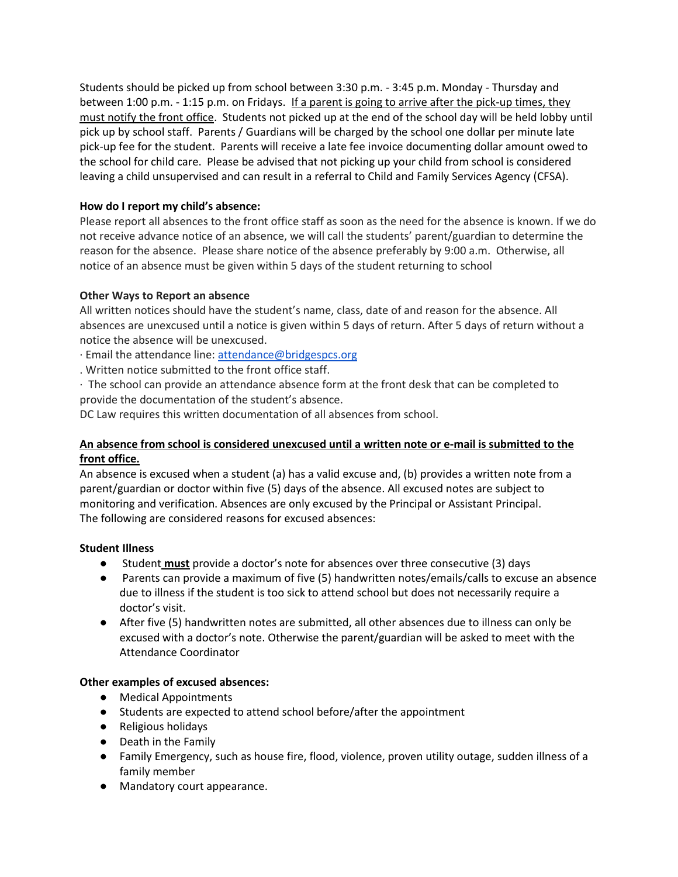Students should be picked up from school between 3:30 p.m. - 3:45 p.m. Monday - Thursday and between 1:00 p.m. - 1:15 p.m. on Fridays. If a parent is going to arrive after the pick-up times, they must notify the front office. Students not picked up at the end of the school day will be held lobby until pick up by school staff. Parents / Guardians will be charged by the school one dollar per minute late pick-up fee for the student. Parents will receive a late fee invoice documenting dollar amount owed to the school for child care. Please be advised that not picking up your child from school is considered leaving a child unsupervised and can result in a referral to Child and Family Services Agency (CFSA).

### **How do I report my child's absence:**

Please report all absences to the front office staff as soon as the need for the absence is known. If we do not receive advance notice of an absence, we will call the students' parent/guardian to determine the reason for the absence. Please share notice of the absence preferably by 9:00 a.m. Otherwise, all notice of an absence must be given within 5 days of the student returning to school

### **Other Ways to Report an absence**

All written notices should have the student's name, class, date of and reason for the absence. All absences are unexcused until a notice is given within 5 days of return. After 5 days of return without a notice the absence will be unexcused.

- · Email the attendance line[: attendance@bridgespcs.org](mailto:attendance@bridgespcs.org)
- . Written notice submitted to the front office staff.
- · The school can provide an attendance absence form at the front desk that can be completed to provide the documentation of the student's absence.

DC Law requires this written documentation of all absences from school.

### **An absence from school is considered unexcused until a written note or e-mail is submitted to the front office.**

An absence is excused when a student (a) has a valid excuse and, (b) provides a written note from a parent/guardian or doctor within five (5) days of the absence. All excused notes are subject to monitoring and verification. Absences are only excused by the Principal or Assistant Principal. The following are considered reasons for excused absences:

### **Student Illness**

- Student **must** provide a doctor's note for absences over three consecutive (3) days
- Parents can provide a maximum of five (5) handwritten notes/emails/calls to excuse an absence due to illness if the student is too sick to attend school but does not necessarily require a doctor's visit.
- After five (5) handwritten notes are submitted, all other absences due to illness can only be excused with a doctor's note. Otherwise the parent/guardian will be asked to meet with the Attendance Coordinator

### **Other examples of excused absences:**

- Medical Appointments
- Students are expected to attend school before/after the appointment
- Religious holidays
- Death in the Family
- Family Emergency, such as house fire, flood, violence, proven utility outage, sudden illness of a family member
- Mandatory court appearance.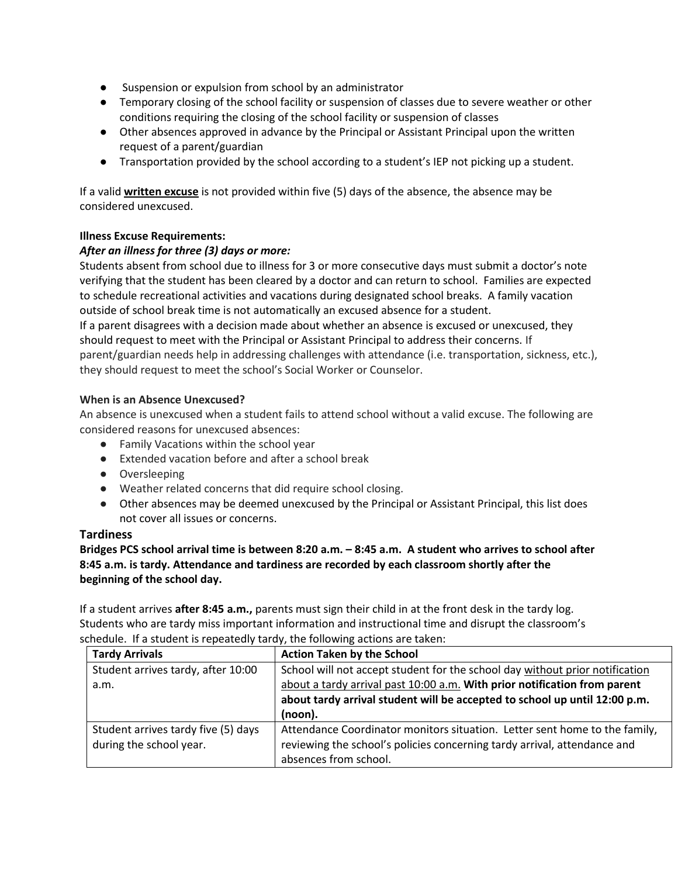- Suspension or expulsion from school by an administrator
- Temporary closing of the school facility or suspension of classes due to severe weather or other conditions requiring the closing of the school facility or suspension of classes
- Other absences approved in advance by the Principal or Assistant Principal upon the written request of a parent/guardian
- Transportation provided by the school according to a student's IEP not picking up a student.

If a valid **written excuse** is not provided within five (5) days of the absence, the absence may be considered unexcused.

#### **Illness Excuse Requirements:**

### *After an illness for three (3) days or more:*

Students absent from school due to illness for 3 or more consecutive days must submit a doctor's note verifying that the student has been cleared by a doctor and can return to school. Families are expected to schedule recreational activities and vacations during designated school breaks. A family vacation outside of school break time is not automatically an excused absence for a student.

If a parent disagrees with a decision made about whether an absence is excused or unexcused, they should request to meet with the Principal or Assistant Principal to address their concerns. If parent/guardian needs help in addressing challenges with attendance (i.e. transportation, sickness, etc.), they should request to meet the school's Social Worker or Counselor.

#### **When is an Absence Unexcused?**

An absence is unexcused when a student fails to attend school without a valid excuse. The following are considered reasons for unexcused absences:

- Family Vacations within the school year
- Extended vacation before and after a school break
- Oversleeping
- Weather related concerns that did require school closing.
- Other absences may be deemed unexcused by the Principal or Assistant Principal, this list does not cover all issues or concerns.

#### **Tardiness**

**Bridges PCS school arrival time is between 8:20 a.m. – 8:45 a.m. A student who arrives to school after 8:45 a.m. is tardy. Attendance and tardiness are recorded by each classroom shortly after the beginning of the school day.**

If a student arrives **after 8:45 a.m.,** parents must sign their child in at the front desk in the tardy log. Students who are tardy miss important information and instructional time and disrupt the classroom's schedule. If a student is repeatedly tardy, the following actions are taken:

| <b>Tardy Arrivals</b>               | <b>Action Taken by the School</b>                                            |
|-------------------------------------|------------------------------------------------------------------------------|
| Student arrives tardy, after 10:00  | School will not accept student for the school day without prior notification |
| a.m.                                | about a tardy arrival past 10:00 a.m. With prior notification from parent    |
|                                     | about tardy arrival student will be accepted to school up until 12:00 p.m.   |
|                                     | (noon).                                                                      |
| Student arrives tardy five (5) days | Attendance Coordinator monitors situation. Letter sent home to the family,   |
| during the school year.             | reviewing the school's policies concerning tardy arrival, attendance and     |
|                                     | absences from school.                                                        |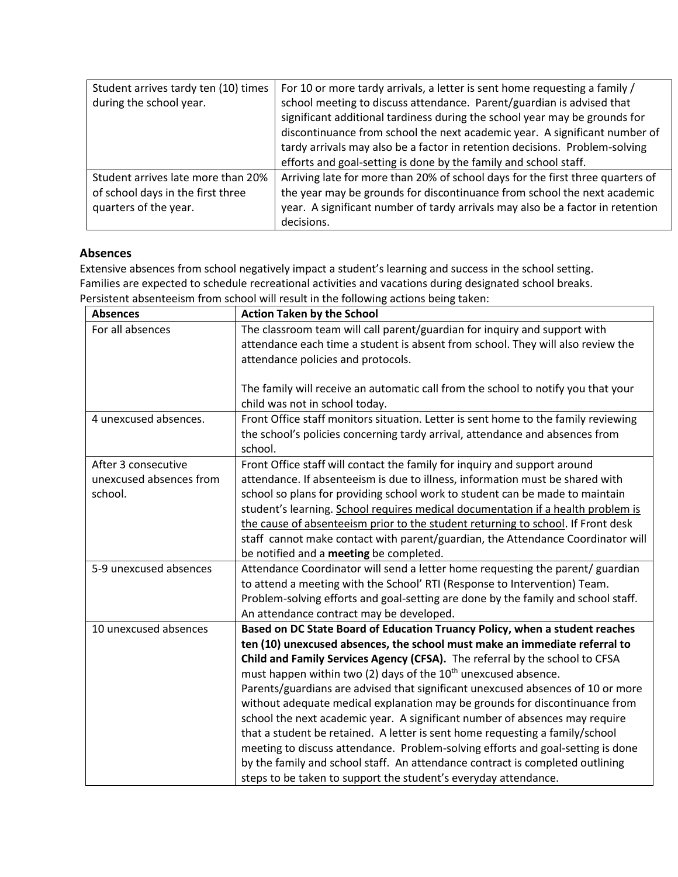| Student arrives tardy ten (10) times | For 10 or more tardy arrivals, a letter is sent home requesting a family /     |
|--------------------------------------|--------------------------------------------------------------------------------|
| during the school year.              | school meeting to discuss attendance. Parent/guardian is advised that          |
|                                      | significant additional tardiness during the school year may be grounds for     |
|                                      | discontinuance from school the next academic year. A significant number of     |
|                                      | tardy arrivals may also be a factor in retention decisions. Problem-solving    |
|                                      | efforts and goal-setting is done by the family and school staff.               |
| Student arrives late more than 20%   | Arriving late for more than 20% of school days for the first three quarters of |
| of school days in the first three    | the year may be grounds for discontinuance from school the next academic       |
| quarters of the year.                | year. A significant number of tardy arrivals may also be a factor in retention |
|                                      | decisions.                                                                     |

## **Absences**

Extensive absences from school negatively impact a student's learning and success in the school setting. Families are expected to schedule recreational activities and vacations during designated school breaks. Persistent absenteeism from school will result in the following actions being taken:

| <b>Absences</b>         | <b>Action Taken by the School</b>                                                  |
|-------------------------|------------------------------------------------------------------------------------|
| For all absences        | The classroom team will call parent/guardian for inquiry and support with          |
|                         | attendance each time a student is absent from school. They will also review the    |
|                         | attendance policies and protocols.                                                 |
|                         |                                                                                    |
|                         | The family will receive an automatic call from the school to notify you that your  |
|                         | child was not in school today.                                                     |
| 4 unexcused absences.   | Front Office staff monitors situation. Letter is sent home to the family reviewing |
|                         | the school's policies concerning tardy arrival, attendance and absences from       |
|                         | school.                                                                            |
| After 3 consecutive     | Front Office staff will contact the family for inquiry and support around          |
| unexcused absences from | attendance. If absenteeism is due to illness, information must be shared with      |
| school.                 | school so plans for providing school work to student can be made to maintain       |
|                         | student's learning. School requires medical documentation if a health problem is   |
|                         | the cause of absenteeism prior to the student returning to school. If Front desk   |
|                         | staff cannot make contact with parent/guardian, the Attendance Coordinator will    |
|                         | be notified and a meeting be completed.                                            |
| 5-9 unexcused absences  | Attendance Coordinator will send a letter home requesting the parent/ guardian     |
|                         | to attend a meeting with the School' RTI (Response to Intervention) Team.          |
|                         | Problem-solving efforts and goal-setting are done by the family and school staff.  |
|                         | An attendance contract may be developed.                                           |
| 10 unexcused absences   | Based on DC State Board of Education Truancy Policy, when a student reaches        |
|                         | ten (10) unexcused absences, the school must make an immediate referral to         |
|                         | Child and Family Services Agency (CFSA). The referral by the school to CFSA        |
|                         | must happen within two (2) days of the 10 <sup>th</sup> unexcused absence.         |
|                         | Parents/guardians are advised that significant unexcused absences of 10 or more    |
|                         | without adequate medical explanation may be grounds for discontinuance from        |
|                         | school the next academic year. A significant number of absences may require        |
|                         | that a student be retained. A letter is sent home requesting a family/school       |
|                         | meeting to discuss attendance. Problem-solving efforts and goal-setting is done    |
|                         | by the family and school staff. An attendance contract is completed outlining      |
|                         | steps to be taken to support the student's everyday attendance.                    |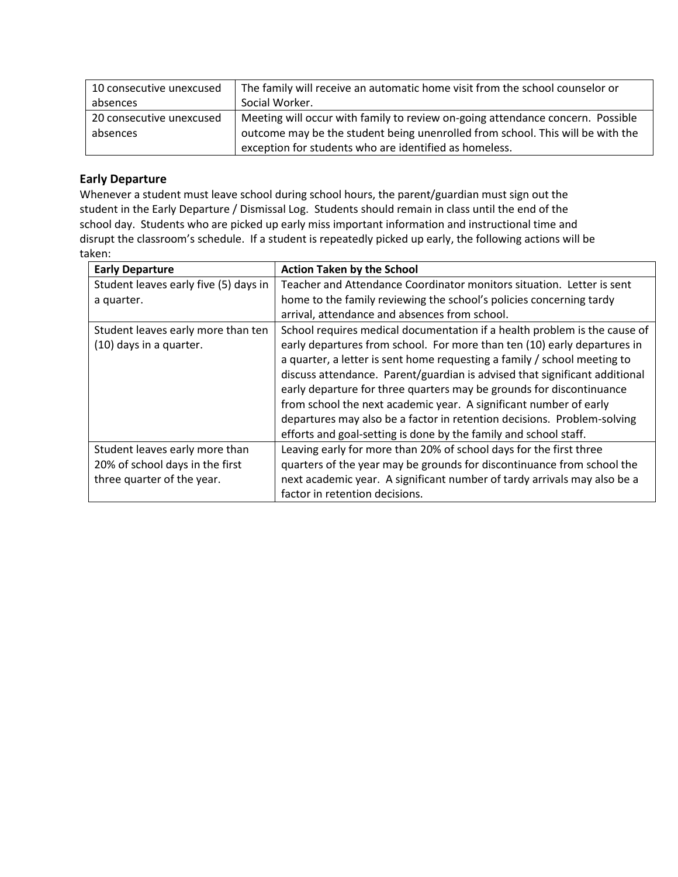| 10 consecutive unexcused | The family will receive an automatic home visit from the school counselor or   |
|--------------------------|--------------------------------------------------------------------------------|
| absences                 | Social Worker.                                                                 |
| 20 consecutive unexcused | Meeting will occur with family to review on-going attendance concern. Possible |
| absences                 | outcome may be the student being unenrolled from school. This will be with the |
|                          | exception for students who are identified as homeless.                         |

## **Early Departure**

Whenever a student must leave school during school hours, the parent/guardian must sign out the student in the Early Departure / Dismissal Log. Students should remain in class until the end of the school day. Students who are picked up early miss important information and instructional time and disrupt the classroom's schedule. If a student is repeatedly picked up early, the following actions will be taken:

| <b>Early Departure</b>                | <b>Action Taken by the School</b>                                          |
|---------------------------------------|----------------------------------------------------------------------------|
| Student leaves early five (5) days in | Teacher and Attendance Coordinator monitors situation. Letter is sent      |
| a quarter.                            | home to the family reviewing the school's policies concerning tardy        |
|                                       | arrival, attendance and absences from school.                              |
| Student leaves early more than ten    | School requires medical documentation if a health problem is the cause of  |
| (10) days in a quarter.               | early departures from school. For more than ten (10) early departures in   |
|                                       | a quarter, a letter is sent home requesting a family / school meeting to   |
|                                       | discuss attendance. Parent/guardian is advised that significant additional |
|                                       | early departure for three quarters may be grounds for discontinuance       |
|                                       | from school the next academic year. A significant number of early          |
|                                       | departures may also be a factor in retention decisions. Problem-solving    |
|                                       | efforts and goal-setting is done by the family and school staff.           |
| Student leaves early more than        | Leaving early for more than 20% of school days for the first three         |
| 20% of school days in the first       | quarters of the year may be grounds for discontinuance from school the     |
| three quarter of the year.            | next academic year. A significant number of tardy arrivals may also be a   |
|                                       | factor in retention decisions.                                             |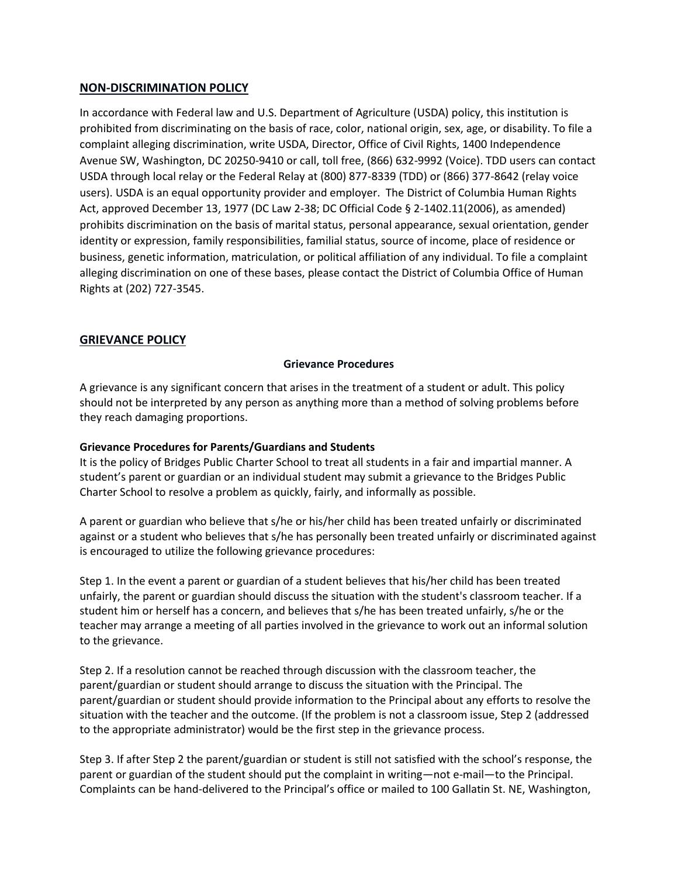### **NON-DISCRIMINATION POLICY**

In accordance with Federal law and U.S. Department of Agriculture (USDA) policy, this institution is prohibited from discriminating on the basis of race, color, national origin, sex, age, or disability. To file a complaint alleging discrimination, write USDA, Director, Office of Civil Rights, 1400 Independence Avenue SW, Washington, DC 20250-9410 or call, toll free, (866) 632-9992 (Voice). TDD users can contact USDA through local relay or the Federal Relay at (800) 877-8339 (TDD) or (866) 377-8642 (relay voice users). USDA is an equal opportunity provider and employer. The District of Columbia Human Rights Act, approved December 13, 1977 (DC Law 2-38; DC Official Code § 2-1402.11(2006), as amended) prohibits discrimination on the basis of marital status, personal appearance, sexual orientation, gender identity or expression, family responsibilities, familial status, source of income, place of residence or business, genetic information, matriculation, or political affiliation of any individual. To file a complaint alleging discrimination on one of these bases, please contact the District of Columbia Office of Human Rights at (202) 727-3545.

### **GRIEVANCE POLICY**

#### **Grievance Procedures**

A grievance is any significant concern that arises in the treatment of a student or adult. This policy should not be interpreted by any person as anything more than a method of solving problems before they reach damaging proportions.

#### **Grievance Procedures for Parents/Guardians and Students**

It is the policy of Bridges Public Charter School to treat all students in a fair and impartial manner. A student's parent or guardian or an individual student may submit a grievance to the Bridges Public Charter School to resolve a problem as quickly, fairly, and informally as possible.

A parent or guardian who believe that s/he or his/her child has been treated unfairly or discriminated against or a student who believes that s/he has personally been treated unfairly or discriminated against is encouraged to utilize the following grievance procedures:

Step 1. In the event a parent or guardian of a student believes that his/her child has been treated unfairly, the parent or guardian should discuss the situation with the student's classroom teacher. If a student him or herself has a concern, and believes that s/he has been treated unfairly, s/he or the teacher may arrange a meeting of all parties involved in the grievance to work out an informal solution to the grievance.

Step 2. If a resolution cannot be reached through discussion with the classroom teacher, the parent/guardian or student should arrange to discuss the situation with the Principal. The parent/guardian or student should provide information to the Principal about any efforts to resolve the situation with the teacher and the outcome. (If the problem is not a classroom issue, Step 2 (addressed to the appropriate administrator) would be the first step in the grievance process.

Step 3. If after Step 2 the parent/guardian or student is still not satisfied with the school's response, the parent or guardian of the student should put the complaint in writing—not e-mail—to the Principal. Complaints can be hand-delivered to the Principal's office or mailed to 100 Gallatin St. NE, Washington,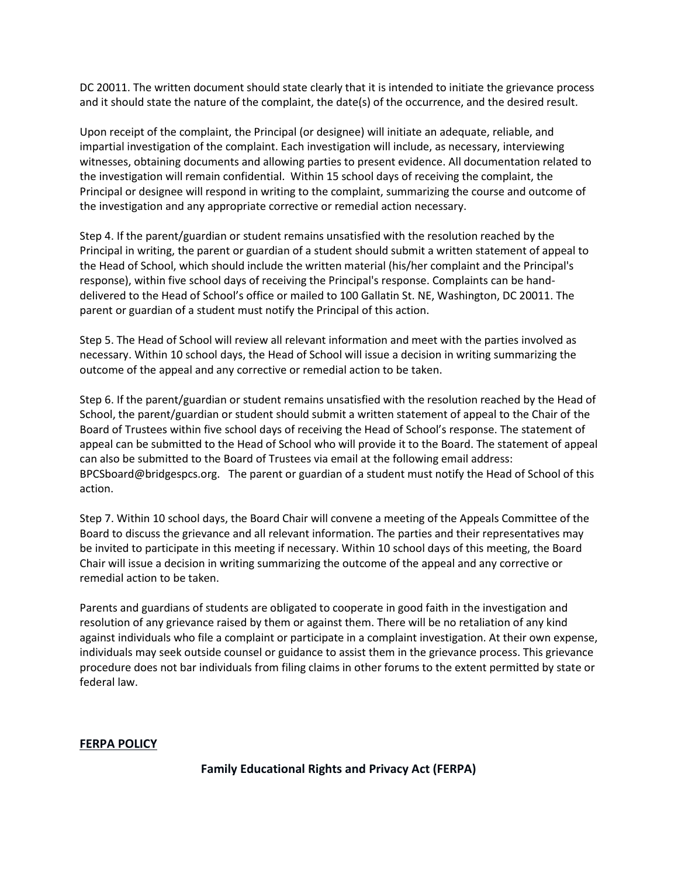DC 20011. The written document should state clearly that it is intended to initiate the grievance process and it should state the nature of the complaint, the date(s) of the occurrence, and the desired result.

Upon receipt of the complaint, the Principal (or designee) will initiate an adequate, reliable, and impartial investigation of the complaint. Each investigation will include, as necessary, interviewing witnesses, obtaining documents and allowing parties to present evidence. All documentation related to the investigation will remain confidential. Within 15 school days of receiving the complaint, the Principal or designee will respond in writing to the complaint, summarizing the course and outcome of the investigation and any appropriate corrective or remedial action necessary.

Step 4. If the parent/guardian or student remains unsatisfied with the resolution reached by the Principal in writing, the parent or guardian of a student should submit a written statement of appeal to the Head of School, which should include the written material (his/her complaint and the Principal's response), within five school days of receiving the Principal's response. Complaints can be handdelivered to the Head of School's office or mailed to 100 Gallatin St. NE, Washington, DC 20011. The parent or guardian of a student must notify the Principal of this action.

Step 5. The Head of School will review all relevant information and meet with the parties involved as necessary. Within 10 school days, the Head of School will issue a decision in writing summarizing the outcome of the appeal and any corrective or remedial action to be taken.

Step 6. If the parent/guardian or student remains unsatisfied with the resolution reached by the Head of School, the parent/guardian or student should submit a written statement of appeal to the Chair of the Board of Trustees within five school days of receiving the Head of School's response. The statement of appeal can be submitted to the Head of School who will provide it to the Board. The statement of appeal can also be submitted to the Board of Trustees via email at the following email address: BPCSboard@bridgespcs.org. The parent or guardian of a student must notify the Head of School of this action.

Step 7. Within 10 school days, the Board Chair will convene a meeting of the Appeals Committee of the Board to discuss the grievance and all relevant information. The parties and their representatives may be invited to participate in this meeting if necessary. Within 10 school days of this meeting, the Board Chair will issue a decision in writing summarizing the outcome of the appeal and any corrective or remedial action to be taken.

Parents and guardians of students are obligated to cooperate in good faith in the investigation and resolution of any grievance raised by them or against them. There will be no retaliation of any kind against individuals who file a complaint or participate in a complaint investigation. At their own expense, individuals may seek outside counsel or guidance to assist them in the grievance process. This grievance procedure does not bar individuals from filing claims in other forums to the extent permitted by state or federal law.

#### **FERPA POLICY**

**Family Educational Rights and Privacy Act (FERPA)**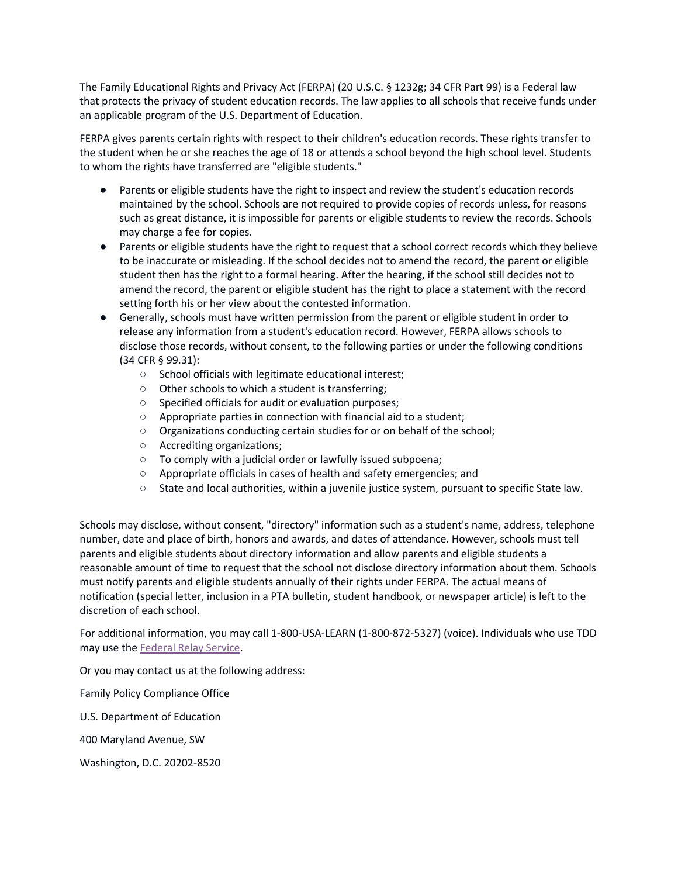The Family Educational Rights and Privacy Act (FERPA) (20 U.S.C. § 1232g; 34 CFR Part 99) is a Federal law that protects the privacy of student education records. The law applies to all schools that receive funds under an applicable program of the U.S. Department of Education.

FERPA gives parents certain rights with respect to their children's education records. These rights transfer to the student when he or she reaches the age of 18 or attends a school beyond the high school level. Students to whom the rights have transferred are "eligible students."

- Parents or eligible students have the right to inspect and review the student's education records maintained by the school. Schools are not required to provide copies of records unless, for reasons such as great distance, it is impossible for parents or eligible students to review the records. Schools may charge a fee for copies.
- Parents or eligible students have the right to request that a school correct records which they believe to be inaccurate or misleading. If the school decides not to amend the record, the parent or eligible student then has the right to a formal hearing. After the hearing, if the school still decides not to amend the record, the parent or eligible student has the right to place a statement with the record setting forth his or her view about the contested information.
- Generally, schools must have written permission from the parent or eligible student in order to release any information from a student's education record. However, FERPA allows schools to disclose those records, without consent, to the following parties or under the following conditions (34 CFR § 99.31):
	- School officials with legitimate educational interest;
	- Other schools to which a student is transferring;
	- Specified officials for audit or evaluation purposes;
	- Appropriate parties in connection with financial aid to a student;
	- Organizations conducting certain studies for or on behalf of the school;
	- Accrediting organizations;
	- To comply with a judicial order or lawfully issued subpoena;
	- Appropriate officials in cases of health and safety emergencies; and
	- State and local authorities, within a juvenile justice system, pursuant to specific State law.

Schools may disclose, without consent, "directory" information such as a student's name, address, telephone number, date and place of birth, honors and awards, and dates of attendance. However, schools must tell parents and eligible students about directory information and allow parents and eligible students a reasonable amount of time to request that the school not disclose directory information about them. Schools must notify parents and eligible students annually of their rights under FERPA. The actual means of notification (special letter, inclusion in a PTA bulletin, student handbook, or newspaper article) is left to the discretion of each school.

For additional information, you may call 1-800-USA-LEARN (1-800-872-5327) (voice). Individuals who use TDD may use th[e Federal Relay Service.](https://www2.ed.gov/about/contacts/gen/index.html#frs)

Or you may contact us at the following address:

Family Policy Compliance Office

U.S. Department of Education

400 Maryland Avenue, SW

Washington, D.C. 20202-8520